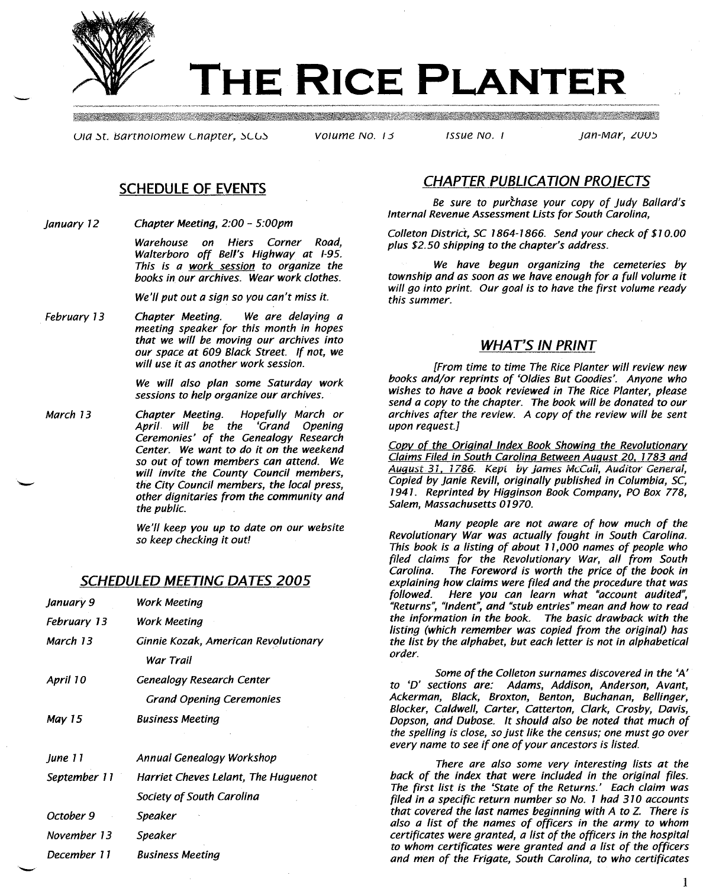

-

# **THE RICE PLANTER**

UIG St. Bartholomew Chapter, SCGS by Volume No. 15 fissue No. 1 ft. in the fan-Mar, 2005

<u> 1989 - Maria Maria Maria Maria Maria Maria Maria Maria Maria Maria Maria Maria Maria Maria Maria Maria Maria</u>

# **SCHEDULE OF EVENTS**

*January 72 Chapter Meeting, 2:00* - *5:00pm*

> *Warehouse on Hiers Corner Road, Walterboro* off *Bell's Highway at 1-95. This is a work session* to *organize the books in our archives. Wear work clothes.*

*We'll put out a sign* so *you can't miss it.*

*February* 73 *Chapter Meeting. We are delaying a meeting speaker for this month in hopes that we will be moving our archives into our space at 609 Black Street. If not, we will use it as another work session.*

> *We will also plan some Saturday work sessions to help organize our archives.*

*March 73 Chapter Meeting. Hopefully March or April will be the 'Grand Opening Ceremonies' of the Genealogy Research Center. We want to do it on the weekend* so *out of town members can attend. We will invite the County Council members, the City Council members, the local press, other dignitaries from the community and the public.*

> *We'll keep you up to date on our website so keep checking it out!*

# **SCHEDULED MEETING DATES 2005**

| January 9    | Work Meeting                         |
|--------------|--------------------------------------|
| February 13  | Work Meeting                         |
| March 13     | Ginnie Kozak, American Revolutionary |
|              | War Trail                            |
| April 10     | Genealogy Research Center            |
|              | <b>Grand Opening Ceremonies</b>      |
| Mav 15       | <b>Business Meeting</b>              |
|              |                                      |
| June 11      | Annual Genealogy Workshop            |
| September 11 | Harriet Cheves Lelant, The Huquenot  |
|              | Society of South Carolina            |
| October 9    | Speaker                              |
| November 13  | Speaker                              |
| December 11  | Business Meeting                     |

# **CHAPTER PUBLICATION PROIECTS**

Be sure to purchase your copy of Judy Ballard's *Internal Revenue Assessment Lists for South Carolina,*

*Colleton District,* SC 7864-7866. *Send your check of \$70.00 plus \$2.50 shipping* to *the chapter's address.*

*We have begun organizing the cemeteries by township and as soon as we have enough for a full volume it will go into print. Our goal is* to *have the first volume ready this summer.*

# **WHAT'S IN PRINT**

*[From time to time The Rice Planter will review new books and/or reprints of 'Oldies But Goodies'. Anyone who wishes to have a book reviewed in The Rice Planter, please send a copy to the chapter. The book will be donated to our archives after the review. A copy of the review will be sent upon request.]*

*Covv* of *the Oriainal Index Book Showina the Revolutionarv Claims Filed in South Carolina Between Auaust 20.* 7783 *and* Auaust.31. 1786. Kepi *by* james McCall, Auditor General, *Copied by Janie Revill, originally published in Columbia, SC, 7947. Reprinted by Higginson Book Company, PO Box 778, Salem, Massachusetts 07970.*

*Many people are not aware of how much of the Revolutionary War was actually fought in South Carolina. This book is a listing of about* <sup>7</sup> *7,000 names of people who filed claims for the Revolutionary War, all from South* The Foreword is worth the price of the book in *explaining how claims were filed and the procedure that was followed. Here you can learn what "account audited", "Returns", "Indent", and "stub entries" mean and how to read the information in the book. The basic drawback with the listing (which remember was copied from the original) has the list by the alphabet, but each letter is not in alphabetical order.*

*Some of the Colleton surnames discovered in the 'A' to 'D' sections are: Adams, Addison, Anderson, Avant, Ackerman, Black, Broxton, Benton, Buchanan, Bellinger, Blocker, Caldwell, Carter, Catterton, Clark, Crosby, Davis, Dopson, and Dubose. It should also be noted that much of the spelling is close, so just like the census; one must go over every name to see if one of your ancestors is listed.*

*There are also some very interesting lists at the back of the index that were included in the original files. The first list is the 'State of the Returns.' Each claim was filed in a specific return number* so *No.* 1 *had 370 accounts that covered the last names beginning with A* to Z. *There is also a list of the names of officers in the army to whom certificates were granted, a list of the officers in the hospital to whom certificates were granted and a list of the officers and men of the Frigate, South Carolina, to who certificates*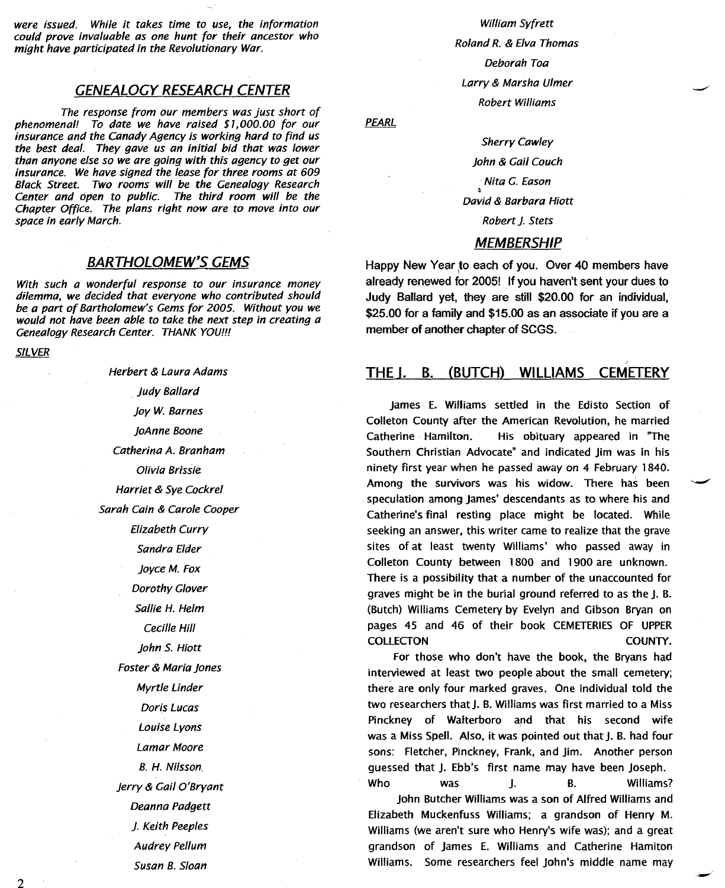were issued. While it takes time to use, the information could prove invaluable as one hunt for their ancestor who might have participated in the Revolutionary War.

## GENEALOGY RESEARCH CENTER

The response from our members was just short of phenomenal! To date we have raised \$7,000.00 for our insurance and the Canady Agency is working hard to find us the best deal. They gave us an initial bid that was lower than anyone else so we are going with this agency to get our insurance. We have signed the lease for three rooms at 609 Black Street. Two rooms will be the Genealogy Research Center and open to public. The third room will be the Chapter Office. The plans right now are to move into our space in early March.

## BARTHOLOMEW'S GEMS

With such a wonderful response to our insurance money dilemma, we decided that everyone who contributed should be a part of Bartholomew's Gems for 2005. Without you we would not have been able to take the next step in creating a Genealogy Research Center. THANK YOU!!!

SILVER

Herbert & Laura Adams Judy Ballard joy W. Barnes joAnne Boone Catherina A. Branham Olivia Brlssle Harriet & Sye Cockrel Sarah Cain & Carole Cooper Elizabeth Curry Sandra Elder joyce M. Fox Dorothy Glover Sallie H. Helm Cecille Hill John S. Hiott Foster & Maria jones Myrtle Linder Doris Lucas Louise Lyons Lamar Moore B. H. Nilsson. jerry & Gail O'Bryant Deanna Padgett }. Keith Peeples Audrey Pellum Susan B. Sloan

William Syfrett Roland R. & Elva Thomas Deborah Toa Larry & Marsha Ulmer Robert Williams

PEARL

Sherry Cawley john & Gail Couch Mita G. Eason David & Barbara Hiott Robert J. Stets

#### **MEMBERSHIP**

Happy New Year to each of you. Over 40 members have already renewed for 2005! If you haven't sent your dues to Judy Ballard yet, they are still \$20.00 for an individual, \$25.00 for a family and \$15.00 as an associate if you are a member of another chapter of SCGS.

#### THE J. B. (BUTCH) WILLIAMS CEMETERY

James E. Williams settled in the Edisto Section of Colleton County after the American Revolution, he married Catherine Hamilton. His obituary appeared in "The Southern Christian Advocate" and indicated Jim was in his ninety first year when he passed away on 4 February 1840. Among the survivors was his widow. There has been speculation among James' descendants as to where his and Catherine's final resting place might be located. While seeking an answer, this writer came to realize that the grave sites of at least twenty Williams' who passed away in Colleton County between 1800 and 1900 are unknown. There is a possibility that a number of the unaccounted for graves might be in the burial ground referred to as the J. B. (Butch) Williams Cemeteryby Evelyn and Gibson Bryan on pages 45 and 46 of their book CEMETERIES OF UPPER COLLECTON COUNTY.

For those who don't have the book, the Bryans had interviewed at least two people about the small cemetery; there are only four marked graves. One individual told the two researchers that J. B. Williams was first married to a Miss Pinckney of Walterboro and that his second wife was a Miss Spell. Also, it was pointed out that J. B. had four sons: Fletcher, Pinckney, Frank, and Jim. Another person guessed that J. Ebb's first name may have been Joseph. Who was J. B. Williams?

John Butcher Williams was a son of Alfred Williams and Elizabeth Muckenfuss Williams; a grandson of Henry M. Williams (we aren't sure who Henry's wife was); and a great grandson of James E. Williams and Catherine Hamiton Williams. Some researchers feel John's middle name may

2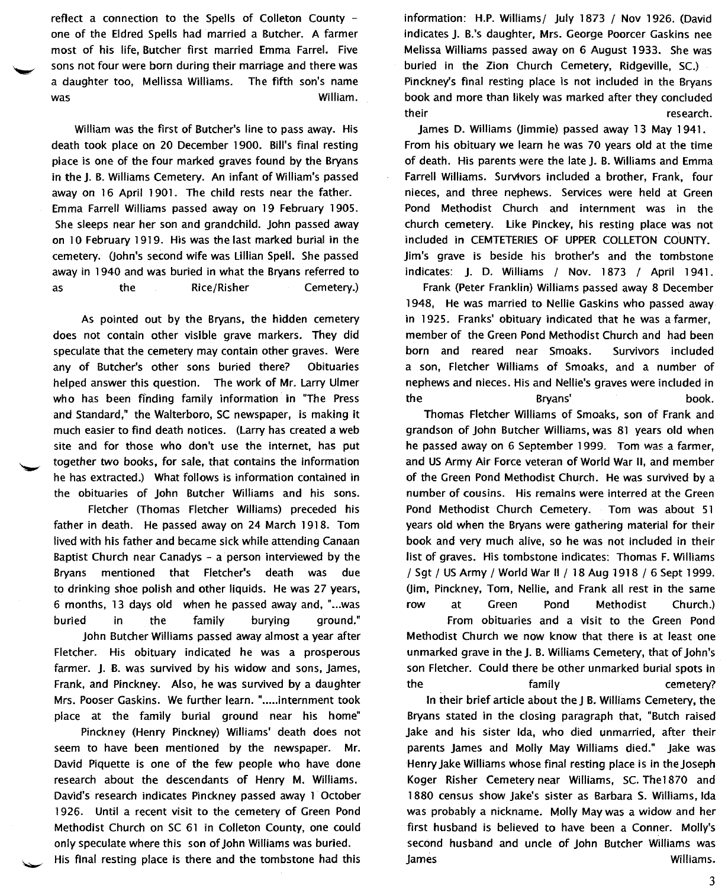reflect a connection to the Spells of Colleton County one of the Eldred Spells had married a Butcher. A farmer most of his life, Butcher first married Emma Farrel. Five sons not four were born during their marriage and there was a daughter too, Mellissa Williams. The fifth son's name was William.

William was the first of Butcher's line to pass away. His death took place on 20 December 1900. Bill's final resting place is one of the four marked graves found by the Bryans in the J. B. Williams Cemetery. An infant of William's passed away on 16 April 1901. The child rests near the father. Emma Farrell Williams passed away on 19 February 1905. She sleeps near her son and grandchild. John passed away on 10 February 1919. His was the last marked burial in the cemetery. Uohn's second wife was Lillian Spell. She passed away in 1940 and was buried in what the Bryans referred to as the Rice/Risher Cemetery.)

As pointed out by the Bryans, the hidden cemetery does not contain other visible grave markers. They did speculate that the cemetery may contain other graves. Were any of Butcher's other sons buried there? Obituaries helped answer this question. The work of Mr. Larry Ulmer who has been ffnding family information in "The Press and Standard," the Walterboro, SC newspaper, is making it much easier to find death notices. (Larry has created a web site and for those who don't use the internet, has put together two books, for sale, that contains the information he has extracted.) What follows is information contained in the obituaries of John Butcher Williams and his sons.

Fletcher (Thomas Fletcher Williams) preceded his father in death. He passed away on 24 March 1918. Tom lived with his father and became sick while attending Canaan Baptist Church near Canadys - a person interviewed by the Bryans mentioned that Fletcher's death was due to drinking shoe polish and other liquids. He was 27 years, 6 months, 13 days old when he passed away and, "...was buried in the family burying ground."

John Butcher Williams passed away almost a year after Fletcher. His obituary indicated he was a prosperous farmer. J. B. was survived by his widow and sons, James, Frank, and Pinckney. Also, he was survived by a daughter Mrs. Pooser Gaskins. We further learn. "..... internment took place at the family burial ground near his home"

Pinckney (Henry Pinckney) Williams' death does not seem to have been mentioned by the newspaper. Mr. David Piquette is one of the few people who have done research about the descendants of Henry M. Williams. David's research indicates Pinckney passed away 1 October 1926. Until a recent visit to the cemetery of Green Pond Methodist Church on SC 61 in Colleton County, one could only speculate where this son of John Williams was buried.

His final resting place is there and the tombstone had this

information: H.P. Williams/ July 1873 / Nov 1926. (David indicates J. B.'s daughter, Mrs. George Poorcer Gaskins nee Melissa Williams passed away on 6 August 1933. She was buried in the Zion Church Cemetery, Ridgeville, SC.) Pinckney's final resting place is not included in the Bryans book and more than likely was marked after they concluded their research.

James D. Williams (Jimmie) passed away 13 May 1941. From his obituary we learn he was 70 years old at the time of death. His parents were the late J. B. Williams and Emma Farrell Williams. Survivors included a brother, Frank, four nieces, and three nephews. Services were held at Green Pond Methodist Church and internment was in the church cemetery. like Pinckey, his resting place was not included in CEMTETERIES OF UPPER COLLETON COUNTY. Jim's grave is beside his brother's and the tombstone indicates: J. D. Williams / Nov. 1873 / April 1941.

Frank (Peter Franklin) Williams passed away 8 December 1948, He was married to Nellie Gaskins who passed away in 1925. Franks' obituary indicated that he was a farmer. member of the Green Pond Methodist Church and had been born and reared near Smoaks. Survivors included a son, Fletcher Williams of Smoaks, and a number of nephews and nieces. His and Nellie's graves were included in the Bryans' book.

Thomas Fletcher Williams of Smoaks, son of Frank and grandson of John Butcher Williams, was 81 years old when he passed away on 6 September 1999. Tom was a farmer, and US Army Air Force veteran of World War II, and member of the Green Pond Methodist Church. He was survived by a number of cousins. His remains were interred at the Green Pond Methodist Church Cemetery. Tom was about 51 years old when the Bryans were gathering material for their book and very much alive, so he was not included in their list of graves. His tombstone indicates: Thomas F. Williams / Sgt / USArmy / World War 11/18 Aug 1918 / 6 Sept 1999. Uim, Pinckney, Tom, Nellie, and Frank all rest in the same row at Green Pond Methodist Church.)

From obituaries and a visit to the Green Pond Methodist Church we now know that there is at least one unmarked grave in the J. B. Williams Cemetery, that of John's son Fletcher. Could there be other unmarked burial spots in the family cemetery?

In their brief article about the J B. Williams Cemetery, the Bryans stated in the closing paragraph that, "Butch raised Jake and his sister Ida, who died unmarried, after their parents James and Molly May Williams died." Jake was Henry Jake Williams whose final resting place is in the Joseph Koger Risher Cemetery near Williams, Sc. The1870 and 1880 census show Jake's sister as Barbara S. Williams, Ida was probably a nickname. Molly May was a widow and her first husband is believed to have been a Conner. Molly's second husband and uncle of John Butcher Williams was **James Williams.**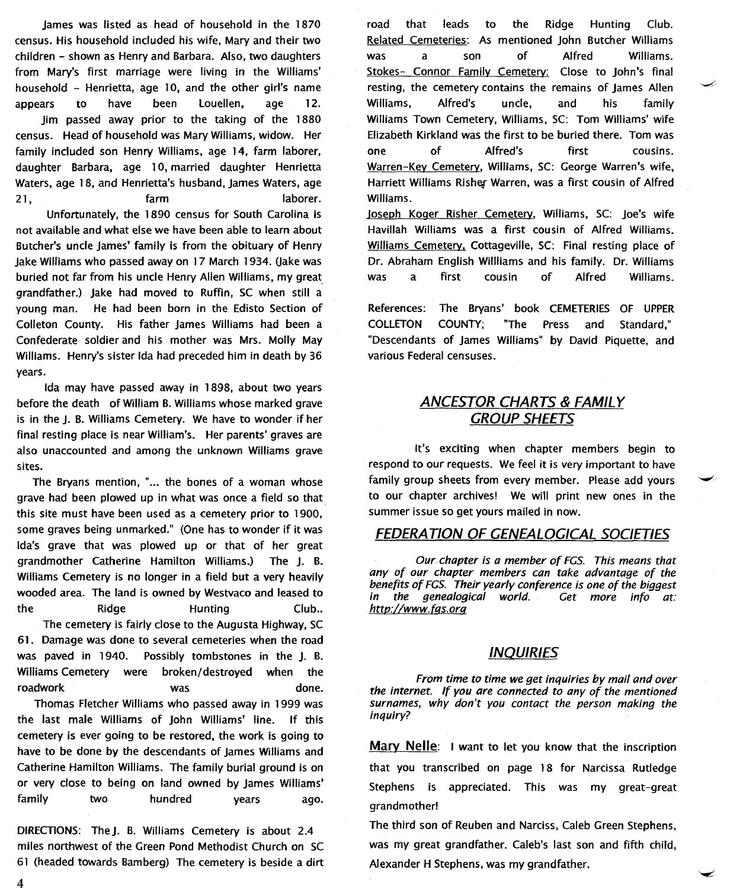james was listed as head of household in the 1870 census. His household included his wife, Mary and their two  $children - shown$  as Henry and Barbara. Also, two daughters from Mary's first marriage were living in the Williams' household - Henrietta, age 10, and the other girl's name appears to have been Louellen, age 12.

jim passed away prior to the taking of the 1880 census. Head of household was Mary Williams, widow. Her family included son Henry Williams, age 14, farm laborer, daughter Barbara, age 10, married daughter Henrietta Waters, age 18, and Henrietta's husband, James Waters, age 21, farm farm laborer.

Unfortunately, the 1890 census for South Carolina is not available and what else we have been able to learn about Butcher's uncle james' family is from the obituary of Henry Jake Williams who passed away on 17 March 1934. (Jake was buried not far from his uncle Henry Allen Williams, my great grandfather.) jake had moved to Ruffin, SC when still a young man. He had been born in the Edisto Section of Colleton County. His father james Williams had been a Confederate soldier and his mother was Mrs. Molly May Williams. Henry's sister Ida had preceded him in death by 36 years.

Ida may have passed away in 1898, about two years before the death of William B. Williams whose marked grave is in the j. B. Williams Cemetery. We have to wonder if her final resting place is near William's. Her parents' graves are also unaccounted and among the unknown Williams grave sites.

The Bryans mention, "... the bones of a woman whose grave had been plowed up in what was once a field so that this site must have been used as a cemetery prior to 1900, some graves being unmarked." (One has to wonder if it was Ida's grave that was plowed up or that of her great grandmother Catherine Hamilton Williams.) The j. B. Williams Cemetery is no longer in a field but a very heavily wooded area. The land is owned by Westvaco and leased to the Ridge Hunting Club.. The cemetery is fairly close to the Augusta Highway, SC

61. Damage was done to several cemeteries when the road was paved in 1940. Possibly tombstones in the j. B. WilliamsCemetery were broken/destroyed when the roadwork was done. Thomas Fletcher Williams who passed away in 1999 was the last male Williams of john Williams' line. If this

cemetery is ever going to be restored, the work is going to have to be done by the descendants of james Williams and Catherine Hamilton Williams. The family burial ground is on or very close to being on land owned by james Williams' family two hundred years ago.

DIRECTIONS: The J. B. Williams Cemetery is about 2.4 miles northwest of the Green Pond Methodist Church on SC 61 (headed towards Bamberg) The cemetery is beside a dirt

road that leads to the Ridge Hunting Club. Related Cemeteries: As mentioned john Butcher Williams was a son of Alfred Williams. Stokes- Connor Family Cemetery: Close to John's final resting, the cemeterycontains the remains of james Allen Williams, Alfred's uncle, and his family Williams Town Cemetery, Williams, SC: Tom Williams' wjfe Elizabeth Kirkland was the first to be buried there. Tom was one of Alfred's first cousins. Warren-Kev Cemetery, Williams, SC: George Warren's wife, Harriett Williams Risher Warren, was a first cousin of Alfred Williams.

loseoh Koger Risher Cemetery. Williams, SC: joe's wife Havillah Williams was a first cousin of Alfred Williams. Williams Cemetery. Cottageville, SC: Final resting place of Dr. Abraham English Willliams and his family. Dr. Williams was a first cousin of Alfred Williams.

References: The Bryans' book CEMETERIES OF UPPER COLLETON COUNTY; "The Press and Standard," "Descendants of james Williams" by David Piquette, and various Federal censuses.

# **ANCESTOR CHARTS & FAMILY** GROUP SHEETS

It's exciting when chapter members begin to respond to our requests. We feel it is very important to have family group sheets from every member. Please add yours to our chapter archives! We will print new ones in the summer issue so get yours mailed in now.

# FEDERATION OF GENEALOGICAL SOCIETIES

*Our chapter is a member of FGS. This means that any of our chapter members can take advantage of the benefits* of *FGS. Their yearly conference is one of the biggest* the genealogical world. *htto://www.fqs.org*

# INQUIRIES

*From time* to *time we get inquiries by mail and over the internet. If you are connected to any of the mentioned surnames, why don't you contact the person making the inquiry?*

Mary Nelle: I want to let you know that the inscription that you transcribed on page 18 for Narcissa Rutledge Stephens is appreciated. This was my great-great grandmother!

The third son of Reuben and Narciss, Caleb Green Stephens, was my great grandfather. Caleb's last son and fifth child, Alexander H Stephens, was my grandfather.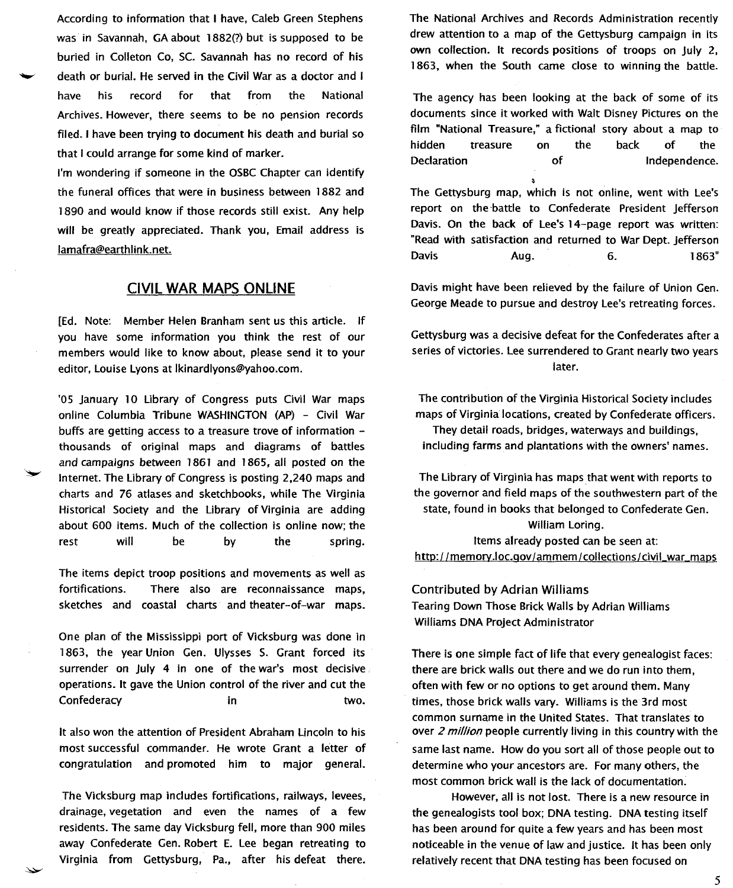According to information that I have, Caleb Green Stephens was in Savannah, GA about 1882(?) but is supposed to be buried in Colleton Co, sc. Savannah has no record of his death or burial. He served in the Civil War as a doctor and I have his record for that from the National Archives. However, there seems to be no pension records filed. I have been trying to document his death and burial so that I could arrange for some kind of marker.

I'm wondering if someone in the OSBC Chapter can identify the funeral offices that were in business between 1882 and 1890 and would know if those records still exist. Any help will be greatly appreciated. Thank you, Email address is lamafra@earthlink.net.

#### **CIVIL WAR MAPS ONLINE**

[Ed. Note: Member Helen Branham sent us this article. If you have some information you think the rest of our members would like to know about, please send it to your editor, louise lyons at Ikinardlyons@yahoo.com.

'OS January 10 library of Congress puts Civil War maps online Columbia Tribune WASHINGTON (AP) - Civil War buffs are getting access to a treasure trove of information thousands of original maps and diagrams of battles and campaigns between 1861 and 1865, all posted on the Internet. The library of Congress is posting 2,240 maps and charts and 76 atlases and sketchbooks, while The Virginia Historical Society and the library of Virginia are adding about 600 items. Much of the collection is online now; the rest will be by the spring.

The items depict troop positions and movements as well as fortifications. There also are reconnaissance maps, sketches and coastal charts and theater-of-war maps.

One plan of the Mississippi port of Vicksburg was done in 1863, the year Union Gen. Ulysses S. Grant forced its surrender on July 4 in one of the war's most decisive operations. It gave the Union control of the river and cut the Confederacy in two.

It also won the attention of President Abraham lincoln to his most successful commander. He wrote Grant a letter of congratulation and promoted him to major general.

The Vicksburg map includes fortifications, railways, levees, drainage, vegetation and even the names of a few residents. The same day Vicksburg fell, more than 900 miles away Confederate Gen. Robert E. lee began retreating to Virginia from Gettysburg, Pa., after his defeat there. The National Archives and Records Administration recently drew attention to a map of the Gettysburg campaign in its own collection. It records positions of troops on July 2, 1863, when the South came close to winning the battle.

The agency has been looking at the back of some of its documents since it worked with Walt Disney Pictures on the film "National Treasure," a fictional story about a map to hidden treasure on the back of the Declaration of Independence.

The Gettysburg map, which is not online, went with lee's report on the battle to Confederate President Jefferson Davis. On the back of lee's 14-page report was written: "Read with satisfaction and returned to War Dept. Jefferson Davis Aug. 6. 1863"

Davis might have been relieved by the failure of Union Gen. George Meade to pursue and destroy lee's retreating forces.

Gettysburg was a decisive defeat for the Confederates after a series of victories. lee surrendered to Grant nearly two years later.

The contribution of the Virginia Historical Society includes maps of Virginia locations, created by Confederate officers.

They detail roads, bridges, waterways and buildings, including farms and plantations with the owners' names.

The library of Virginia has maps that went with reports to the governor and field maps of the southwestern part of the state, found in books that belonged to Confederate Gen. William loring. Items already posted can be seen at:

http://memorv.loc.gov/ammem/collections/civil war maps

Contributed by Adrian Williams Tearing Down Those Brick Walls by Adrian Williams Williams DNA Project Administrator

There is one simple fact of life that every genealogist faces: there are brick walls out there and we do run into them, often with few or no options to get around them. Many times, those brick walls vary. Williams is the 3rd most common surname in the United States. That translates to over 2 *million* people currently living in this country with the same last name. How do you sort all of those people out to determine who your ancestors are. For many others, the most common brick wall is the lack of documentation.

However, all is not lost. There is a new resource in the genealogists tool box; DNA testing. DNA testing itself has been around for quite a few years and has been most noticeable in the venue of law and justice. It has been only relatively recent that DNA testing has been focused on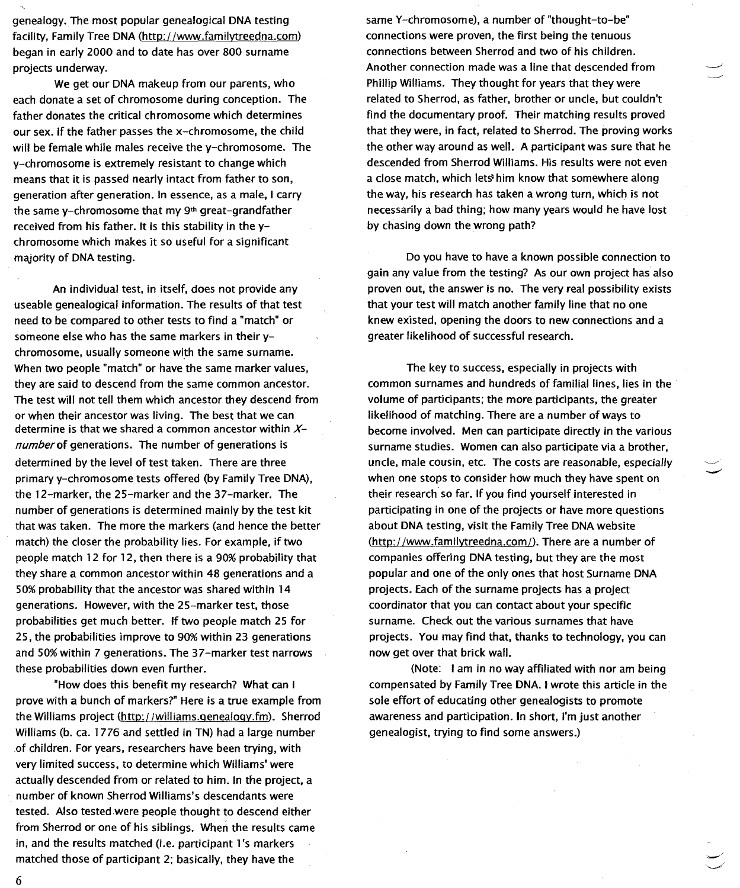genealogy. The most popular genealogical DNA testing facility, Family Tree DNA (http://www.familvtreedna.com) began in early 2000 and to date has over 800 surname projects underway.

We get our DNA makeup from our parents, who each donate a set of chromosome during conception. The father donates the critical chromosome which determines our sex. If the father passes the x-chromosome, the child will be female while males receive the y-chromosome. The y-chromosome is extremely resistant to change which means that it is passed nearly intact from father to son, generation after generation. In essence, as a male, I carry the same y-chromosome that my  $9<sup>th</sup>$  great-grandfather received from his father. It is this stability in the ychromosome which makes it so useful for a significant majority of DNA testing.

An individual test, in itself, does not provide any useable genealogical information. The results of that test need to be compared to other tests to find a "match" or someone else who has the same markers in their ychromosome, usually someone with the same surname. When two people "match" or have the same marker values, they are said to descend from the same common ancestor. The test will not tell them which ancestor they descend from or when their ancestor was living. The best that we can determine is that we shared a common ancestor within  $X$ *number* of generations. The number of generations is determined by the level of test taken. There are three primary y-chromosome tests offered (by Family Tree DNA), the 12-marker, the 25-marker and the 37-marker. The number of generations is determined mainly by the test kit that was taken. The more the markers (and hence the better match) the closer the probability lies. For example, if two people match 12 for 12, then there is a 90% probability that they share a common ancestor within 48 generations and a 50% probability that the ancestor was shared within 14 generations. However, with the 25-marker test, those probabilities get much better. If two people match 25 for 25, the probabilities improve to 90% within 23 generations and 50%within 7 generations. The 37-marker test narrows these probabilities down even further.

"How does this benefit my research? What can I prove with a bunch of markers?" Here is a true example from the Williams project (http://williams.genealogy.fm). Sherrod Williams (b. ca. 1776 and settled in TN) had a large number of children. For years, researchers have been trying, with very limited success, to determine which Williams' were actually descended from or related to him. In the project, a number of known Sherrod Williams's descendants were tested. Also tested were people thought to descend either from Sherrod or one of his siblings. When the results came in, and the results matched (i.e. participant l's markers matched those of participant 2; basically, they have the

same Y-chromosome), a number of "thought-to-be" connections were proven, the first being the tenuous connections between Sherrod and two of his children. Another connection made was a line that descended from Phillip Williams. They thought for years that they were related to Sherrod, as father, brother or uncle, but couldn't find the documentary proof. Their matching results proved that they were, in fact, related to Sherrod. The proving works the other way around as well. A participant was sure that he descended from Sherrod Williams. His results were not even a close match, which lets him know that somewhere along the way, his research has taken a wrong turn, which is not necessarily a bad thing; how many years would he have lost by chasing down the wrong path?

Do you have to have a known possible connection to gain any value from the testing? As our own project has also proven out, the answer is no. The very real possibility exists that your test will match another family line that no one knew existed, opening the doors to new connections and a greater likelihood of successful research.

The key to success, especially in projects with common surnames and hundreds of familial lines, lies in the volume of participants; the more participants, the greater likelihood of matching. There are a number of ways to become involved. Men can participate directly in the various surname studies. Women can also participate via a brother, uncle, male cousin, etc. The costs are reasonable, especially when one stops to consider how much they have spent on their research· so far. If you find yourself interested in participating in one of the projects or have more questions about DNA testing, visit the Family Tree DNA website  $(http://www.familytreedna.com/).$  There are a number of companies offering DNA testing, but they are the most popular and one of the only ones that host Surname DNA projects. Each of the surname projects has a project coordinator that you can contact about your specific surname. Check out the various surnames that have projects. You may find that, thanks to technology, you can now get over that brick wall.

(Note: I am in no way affiliated with nor am being compensated by Family Tree DNA. I wrote this article in the sole effort of educating other genealogists to promote awareness and participation. In short, I'm just another genealogist, trying to find some answers.)

6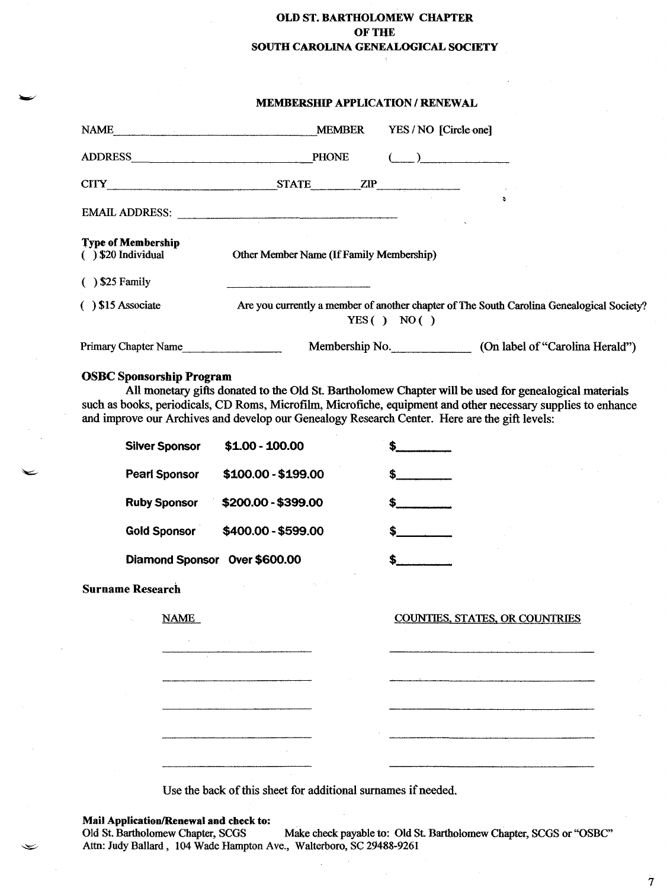## OLD ST. BARTHOLOMEW CHAPTER OF THE SOUTH CAROLINA GENEALOGICAL SOCIETY

#### MEMBERSHIP APPLICATION / RENEWAL

|                                                                                                                                                                                                                                                                                                                                                            | MEMORASHIE AFFLICATION / KENEWAL         |                                                                                                         |  |  |
|------------------------------------------------------------------------------------------------------------------------------------------------------------------------------------------------------------------------------------------------------------------------------------------------------------------------------------------------------------|------------------------------------------|---------------------------------------------------------------------------------------------------------|--|--|
|                                                                                                                                                                                                                                                                                                                                                            | NAME MEMBER                              | YES/NO [Circle one]                                                                                     |  |  |
| ADDRESS PHONE                                                                                                                                                                                                                                                                                                                                              |                                          | $\left(\begin{array}{c} 1 & 1 \\ 1 & 1 \end{array}\right)$                                              |  |  |
|                                                                                                                                                                                                                                                                                                                                                            | CITY STATE ZIP                           |                                                                                                         |  |  |
|                                                                                                                                                                                                                                                                                                                                                            | EMAIL ADDRESS:                           |                                                                                                         |  |  |
| <b>Type of Membership</b><br>$( )$ \$20 Individual<br>$( )$ \$25 Family                                                                                                                                                                                                                                                                                    | Other Member Name (If Family Membership) |                                                                                                         |  |  |
| $( )$ \$15 Associate                                                                                                                                                                                                                                                                                                                                       |                                          | Are you currently a member of another chapter of The South Carolina Genealogical Society?<br>YES() NO() |  |  |
| Primary Chapter Name                                                                                                                                                                                                                                                                                                                                       |                                          | Membership No. (On label of "Carolina Herald")                                                          |  |  |
| <b>OSBC Sponsorship Program</b><br>All monetary gifts donated to the Old St. Bartholomew Chapter will be used for genealogical materials<br>such as books, periodicals, CD Roms, Microfilm, Microfiche, equipment and other necessary supplies to enhance<br>and improve our Archives and develop our Genealogy Research Center. Here are the gift levels: |                                          |                                                                                                         |  |  |
| <b>Silver Sponsor</b>                                                                                                                                                                                                                                                                                                                                      | \$1.00 - 100.00                          | $\frac{1}{2}$                                                                                           |  |  |
| <b>Pearl Sponsor</b>                                                                                                                                                                                                                                                                                                                                       | \$100.00 - \$199.00                      | $\frac{1}{2}$                                                                                           |  |  |
| <b>Ruby Sponsor</b>                                                                                                                                                                                                                                                                                                                                        | \$200.00 - \$399.00                      | $\sim$                                                                                                  |  |  |
| <b>Gold Sponsor</b>                                                                                                                                                                                                                                                                                                                                        | \$400.00 - \$599.00                      | $\sim$                                                                                                  |  |  |
| Diamond Sponsor Over \$600.00                                                                                                                                                                                                                                                                                                                              |                                          |                                                                                                         |  |  |
| <b>Surname Research</b>                                                                                                                                                                                                                                                                                                                                    |                                          |                                                                                                         |  |  |

NAME

COUNTIES. STATES. OR COUNTRIES

Use the back of this sheet for additional surnames if needed.

 $\checkmark$ 

Mail Application/Renewal and check to:<br>Old St. Bartholomew Chapter, SCGS Make check payable to: Old St. Bartholomew Chapter, SCGS or "OSBC" Attn: Judy Ballard, 104 Wade Hampton Ave., Walterboro, Sc 29488-9261